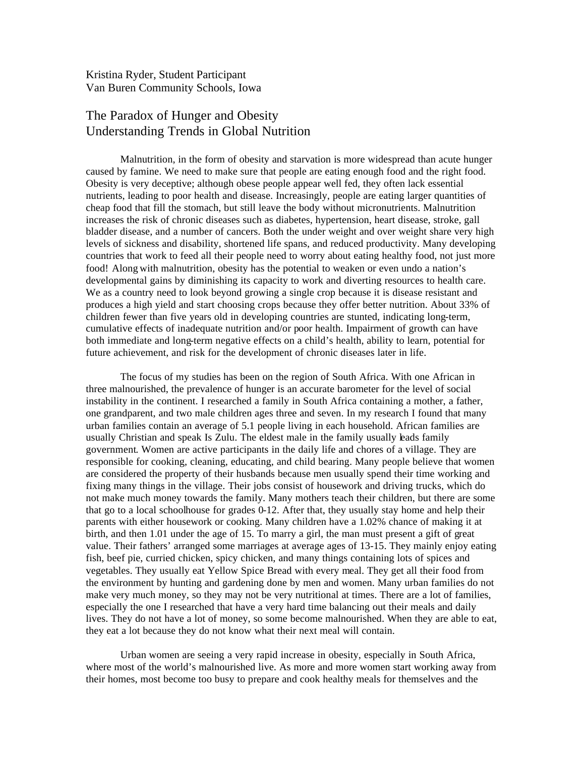Kristina Ryder, Student Participant Van Buren Community Schools, Iowa

## The Paradox of Hunger and Obesity Understanding Trends in Global Nutrition

Malnutrition, in the form of obesity and starvation is more widespread than acute hunger caused by famine. We need to make sure that people are eating enough food and the right food. Obesity is very deceptive; although obese people appear well fed, they often lack essential nutrients, leading to poor health and disease. Increasingly, people are eating larger quantities of cheap food that fill the stomach, but still leave the body without micronutrients. Malnutrition increases the risk of chronic diseases such as diabetes, hypertension, heart disease, stroke, gall bladder disease, and a number of cancers. Both the under weight and over weight share very high levels of sickness and disability, shortened life spans, and reduced productivity. Many developing countries that work to feed all their people need to worry about eating healthy food, not just more food! Along with malnutrition, obesity has the potential to weaken or even undo a nation's developmental gains by diminishing its capacity to work and diverting resources to health care. We as a country need to look beyond growing a single crop because it is disease resistant and produces a high yield and start choosing crops because they offer better nutrition. About 33% of children fewer than five years old in developing countries are stunted, indicating long-term, cumulative effects of inadequate nutrition and/or poor health. Impairment of growth can have both immediate and long-term negative effects on a child's health, ability to learn, potential for future achievement, and risk for the development of chronic diseases later in life.

The focus of my studies has been on the region of South Africa. With one African in three malnourished, the prevalence of hunger is an accurate barometer for the level of social instability in the continent. I researched a family in South Africa containing a mother, a father, one grandparent, and two male children ages three and seven. In my research I found that many urban families contain an average of 5.1 people living in each household. African families are usually Christian and speak Is Zulu. The eldest male in the family usually leads family government. Women are active participants in the daily life and chores of a village. They are responsible for cooking, cleaning, educating, and child bearing. Many people believe that women are considered the property of their husbands because men usually spend their time working and fixing many things in the village. Their jobs consist of housework and driving trucks, which do not make much money towards the family. Many mothers teach their children, but there are some that go to a local schoolhouse for grades 0-12. After that, they usually stay home and help their parents with either housework or cooking. Many children have a 1.02% chance of making it at birth, and then 1.01 under the age of 15. To marry a girl, the man must present a gift of great value. Their fathers' arranged some marriages at average ages of 13-15. They mainly enjoy eating fish, beef pie, curried chicken, spicy chicken, and many things containing lots of spices and vegetables. They usually eat Yellow Spice Bread with every meal. They get all their food from the environment by hunting and gardening done by men and women. Many urban families do not make very much money, so they may not be very nutritional at times. There are a lot of families, especially the one I researched that have a very hard time balancing out their meals and daily lives. They do not have a lot of money, so some become malnourished. When they are able to eat, they eat a lot because they do not know what their next meal will contain.

Urban women are seeing a very rapid increase in obesity, especially in South Africa, where most of the world's malnourished live. As more and more women start working away from their homes, most become too busy to prepare and cook healthy meals for themselves and the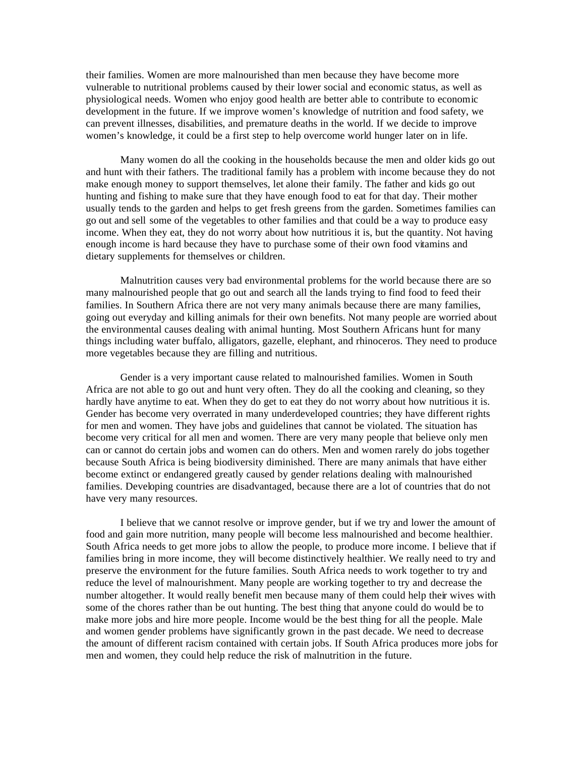their families. Women are more malnourished than men because they have become more vulnerable to nutritional problems caused by their lower social and economic status, as well as physiological needs. Women who enjoy good health are better able to contribute to economic development in the future. If we improve women's knowledge of nutrition and food safety, we can prevent illnesses, disabilities, and premature deaths in the world. If we decide to improve women's knowledge, it could be a first step to help overcome world hunger later on in life.

Many women do all the cooking in the households because the men and older kids go out and hunt with their fathers. The traditional family has a problem with income because they do not make enough money to support themselves, let alone their family. The father and kids go out hunting and fishing to make sure that they have enough food to eat for that day. Their mother usually tends to the garden and helps to get fresh greens from the garden. Sometimes families can go out and sell some of the vegetables to other families and that could be a way to produce easy income. When they eat, they do not worry about how nutritious it is, but the quantity. Not having enough income is hard because they have to purchase some of their own food vitamins and dietary supplements for themselves or children.

Malnutrition causes very bad environmental problems for the world because there are so many malnourished people that go out and search all the lands trying to find food to feed their families. In Southern Africa there are not very many animals because there are many families, going out everyday and killing animals for their own benefits. Not many people are worried about the environmental causes dealing with animal hunting. Most Southern Africans hunt for many things including water buffalo, alligators, gazelle, elephant, and rhinoceros. They need to produce more vegetables because they are filling and nutritious.

Gender is a very important cause related to malnourished families. Women in South Africa are not able to go out and hunt very often. They do all the cooking and cleaning, so they hardly have anytime to eat. When they do get to eat they do not worry about how nutritious it is. Gender has become very overrated in many underdeveloped countries; they have different rights for men and women. They have jobs and guidelines that cannot be violated. The situation has become very critical for all men and women. There are very many people that believe only men can or cannot do certain jobs and women can do others. Men and women rarely do jobs together because South Africa is being biodiversity diminished. There are many animals that have either become extinct or endangered greatly caused by gender relations dealing with malnourished families. Developing countries are disadvantaged, because there are a lot of countries that do not have very many resources.

I believe that we cannot resolve or improve gender, but if we try and lower the amount of food and gain more nutrition, many people will become less malnourished and become healthier. South Africa needs to get more jobs to allow the people, to produce more income. I believe that if families bring in more income, they will become distinctively healthier. We really need to try and preserve the environment for the future families. South Africa needs to work together to try and reduce the level of malnourishment. Many people are working together to try and decrease the number altogether. It would really benefit men because many of them could help their wives with some of the chores rather than be out hunting. The best thing that anyone could do would be to make more jobs and hire more people. Income would be the best thing for all the people. Male and women gender problems have significantly grown in the past decade. We need to decrease the amount of different racism contained with certain jobs. If South Africa produces more jobs for men and women, they could help reduce the risk of malnutrition in the future.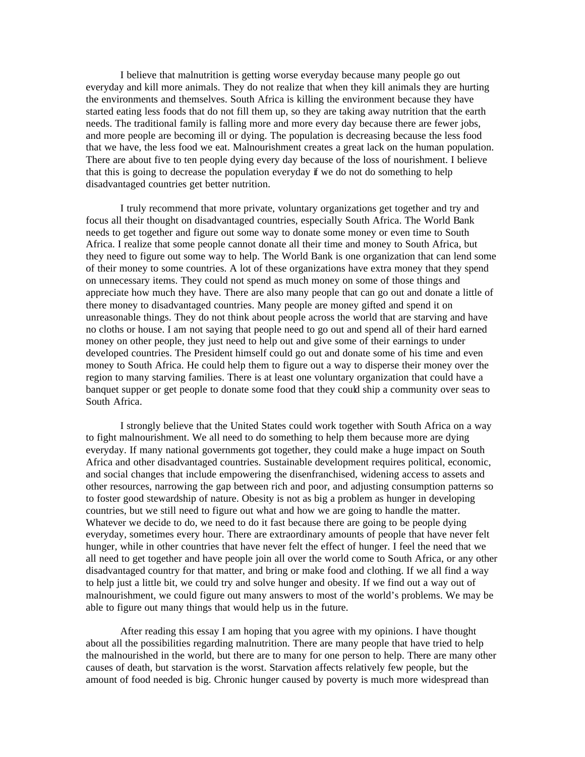I believe that malnutrition is getting worse everyday because many people go out everyday and kill more animals. They do not realize that when they kill animals they are hurting the environments and themselves. South Africa is killing the environment because they have started eating less foods that do not fill them up, so they are taking away nutrition that the earth needs. The traditional family is falling more and more every day because there are fewer jobs, and more people are becoming ill or dying. The population is decreasing because the less food that we have, the less food we eat. Malnourishment creates a great lack on the human population. There are about five to ten people dying every day because of the loss of nourishment. I believe that this is going to decrease the population everyday if we do not do something to help disadvantaged countries get better nutrition.

I truly recommend that more private, voluntary organizations get together and try and focus all their thought on disadvantaged countries, especially South Africa. The World Bank needs to get together and figure out some way to donate some money or even time to South Africa. I realize that some people cannot donate all their time and money to South Africa, but they need to figure out some way to help. The World Bank is one organization that can lend some of their money to some countries. A lot of these organizations have extra money that they spend on unnecessary items. They could not spend as much money on some of those things and appreciate how much they have. There are also many people that can go out and donate a little of there money to disadvantaged countries. Many people are money gifted and spend it on unreasonable things. They do not think about people across the world that are starving and have no cloths or house. I am not saying that people need to go out and spend all of their hard earned money on other people, they just need to help out and give some of their earnings to under developed countries. The President himself could go out and donate some of his time and even money to South Africa. He could help them to figure out a way to disperse their money over the region to many starving families. There is at least one voluntary organization that could have a banquet supper or get people to donate some food that they could ship a community over seas to South Africa.

I strongly believe that the United States could work together with South Africa on a way to fight malnourishment. We all need to do something to help them because more are dying everyday. If many national governments got together, they could make a huge impact on South Africa and other disadvantaged countries. Sustainable development requires political, economic, and social changes that include empowering the disenfranchised, widening access to assets and other resources, narrowing the gap between rich and poor, and adjusting consumption patterns so to foster good stewardship of nature. Obesity is not as big a problem as hunger in developing countries, but we still need to figure out what and how we are going to handle the matter. Whatever we decide to do, we need to do it fast because there are going to be people dying everyday, sometimes every hour. There are extraordinary amounts of people that have never felt hunger, while in other countries that have never felt the effect of hunger. I feel the need that we all need to get together and have people join all over the world come to South Africa, or any other disadvantaged country for that matter, and bring or make food and clothing. If we all find a way to help just a little bit, we could try and solve hunger and obesity. If we find out a way out of malnourishment, we could figure out many answers to most of the world's problems. We may be able to figure out many things that would help us in the future.

After reading this essay I am hoping that you agree with my opinions. I have thought about all the possibilities regarding malnutrition. There are many people that have tried to help the malnourished in the world, but there are to many for one person to help. There are many other causes of death, but starvation is the worst. Starvation affects relatively few people, but the amount of food needed is big. Chronic hunger caused by poverty is much more widespread than